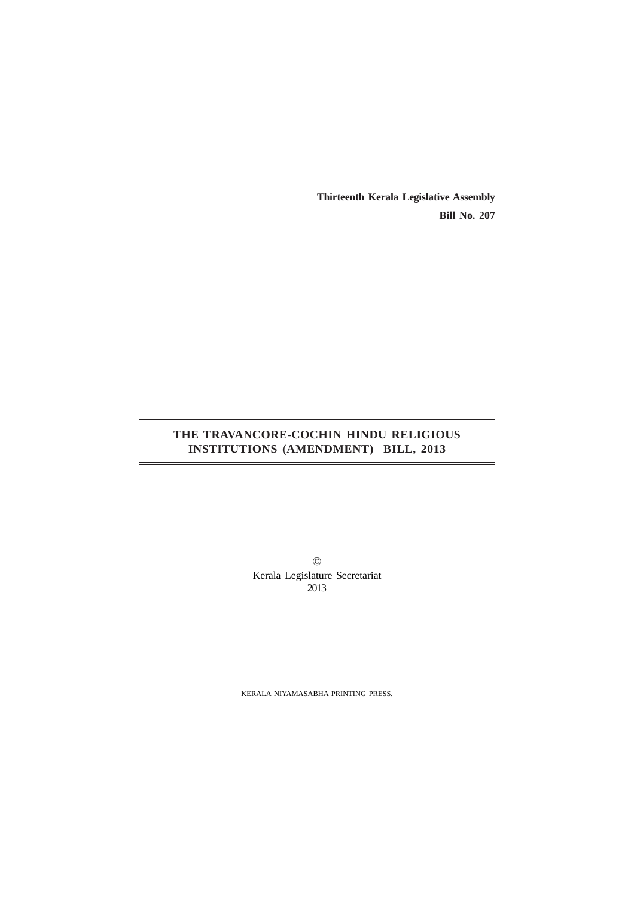**Thirteenth Kerala Legislative Assembly Bill No. 207**

# **THE TRAVANCORE-COCHIN HINDU RELIGIOUS INSTITUTIONS (AMENDMENT) BILL, 2013**

© Kerala Legislature Secretariat 2013

KERALA NIYAMASABHA PRINTING PRESS.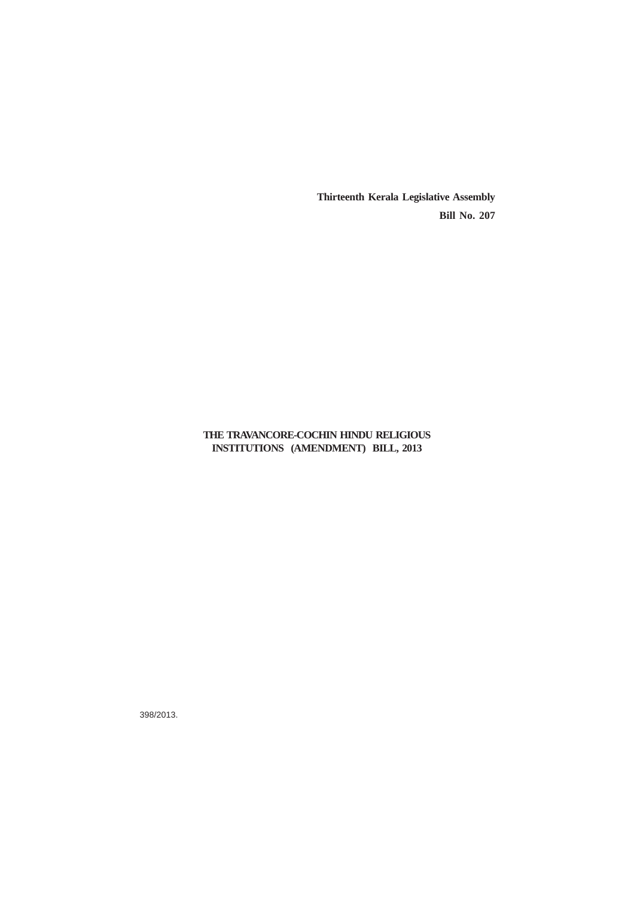**Thirteenth Kerala Legislative Assembly Bill No. 207**

# **THE TRAVANCORE-COCHIN HINDU RELIGIOUS INSTITUTIONS (AMENDMENT) BILL, 2013**

398/2013.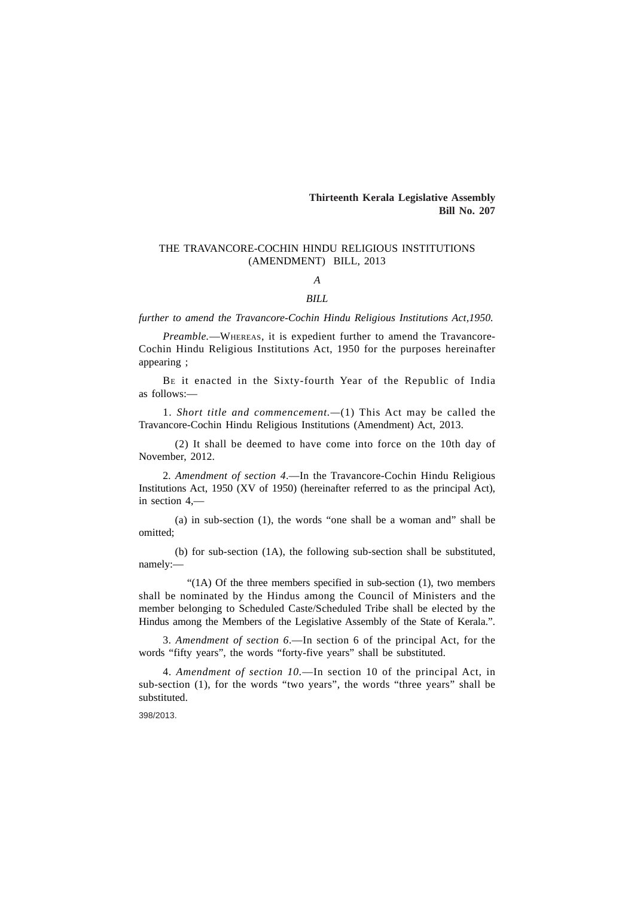## **Thirteenth Kerala Legislative Assembly Bill No. 207**

### THE TRAVANCORE-COCHIN HINDU RELIGIOUS INSTITUTIONS (AMENDMENT) BILL, 2013

# *A*

#### *BILL*

*further to amend the Travancore-Cochin Hindu Religious Institutions Act,1950.*

*Preamble.*—WHEREAS, it is expedient further to amend the Travancore-Cochin Hindu Religious Institutions Act, 1950 for the purposes hereinafter appearing ;

BE it enacted in the Sixty-fourth Year of the Republic of India as follows:—

1. *Short title and commencement.—*(1) This Act may be called the Travancore-Cochin Hindu Religious Institutions (Amendment) Act, 2013.

(2) It shall be deemed to have come into force on the 10th day of November, 2012.

2*. Amendment of section 4*.—In the Travancore-Cochin Hindu Religious Institutions Act, 1950 (XV of 1950) (hereinafter referred to as the principal Act), in section 4,—

(a) in sub-section (1), the words "one shall be a woman and" shall be omitted;

(b) for sub-section (1A), the following sub-section shall be substituted, namely:—

"(1A) Of the three members specified in sub-section (1), two members shall be nominated by the Hindus among the Council of Ministers and the member belonging to Scheduled Caste/Scheduled Tribe shall be elected by the Hindus among the Members of the Legislative Assembly of the State of Kerala.".

3*. Amendment of section 6*.—In section 6 of the principal Act, for the words "fifty years", the words "forty-five years" shall be substituted.

4*. Amendment of section 10.*—In section 10 of the principal Act, in sub-section (1), for the words "two years", the words "three years" shall be substituted.

398/2013.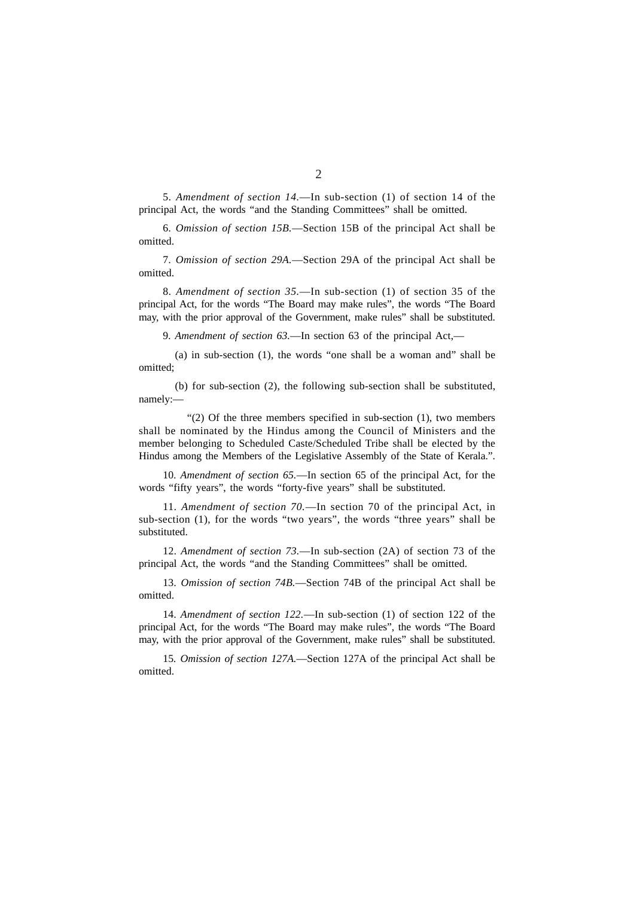5*. Amendment of section 14.*—In sub-section (1) of section 14 of the principal Act, the words "and the Standing Committees" shall be omitted.

6*. Omission of section 15B.*—Section 15B of the principal Act shall be omitted.

7*. Omission of section 29A.*—Section 29A of the principal Act shall be omitted.

8*. Amendment of section 35.*—In sub-section (1) of section 35 of the principal Act, for the words "The Board may make rules", the words "The Board may, with the prior approval of the Government, make rules" shall be substituted.

9*. Amendment of section 63.*—In section 63 of the principal Act,—

(a) in sub-section (1), the words "one shall be a woman and" shall be omitted;

(b) for sub-section (2), the following sub-section shall be substituted, namely:—

"(2) Of the three members specified in sub-section (1), two members shall be nominated by the Hindus among the Council of Ministers and the member belonging to Scheduled Caste/Scheduled Tribe shall be elected by the Hindus among the Members of the Legislative Assembly of the State of Kerala.".

10*. Amendment of section 65.*—In section 65 of the principal Act, for the words "fifty years", the words "forty-five years" shall be substituted.

11*. Amendment of section 70.*—In section 70 of the principal Act, in sub-section (1), for the words "two years", the words "three years" shall be substituted.

12*. Amendment of section 73.*—In sub-section (2A) of section 73 of the principal Act, the words "and the Standing Committees" shall be omitted.

13*. Omission of section 74B.*—Section 74B of the principal Act shall be omitted.

14*. Amendment of section 122.*—In sub-section (1) of section 122 of the principal Act, for the words "The Board may make rules", the words "The Board may, with the prior approval of the Government, make rules" shall be substituted.

15*. Omission of section 127A.*—Section 127A of the principal Act shall be omitted.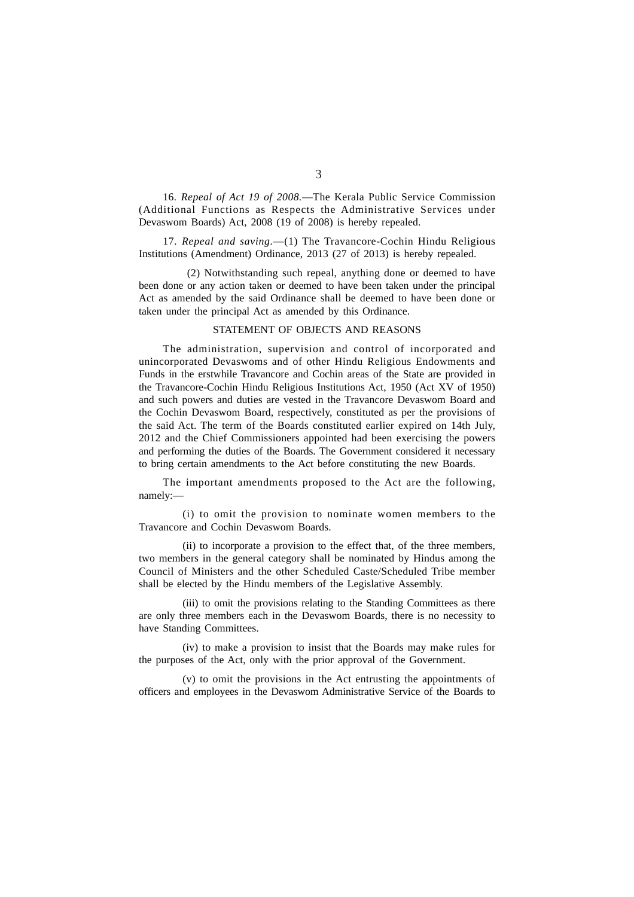16*. Repeal of Act 19 of 2008.*—The Kerala Public Service Commission (Additional Functions as Respects the Administrative Services under Devaswom Boards) Act, 2008 (19 of 2008) is hereby repealed.

17*. Repeal and saving.*—(1) The Travancore-Cochin Hindu Religious Institutions (Amendment) Ordinance, 2013 (27 of 2013) is hereby repealed.

(2) Notwithstanding such repeal, anything done or deemed to have been done or any action taken or deemed to have been taken under the principal Act as amended by the said Ordinance shall be deemed to have been done or taken under the principal Act as amended by this Ordinance.

#### STATEMENT OF OBJECTS AND REASONS

The administration, supervision and control of incorporated and unincorporated Devaswoms and of other Hindu Religious Endowments and Funds in the erstwhile Travancore and Cochin areas of the State are provided in the Travancore-Cochin Hindu Religious Institutions Act, 1950 (Act XV of 1950) and such powers and duties are vested in the Travancore Devaswom Board and the Cochin Devaswom Board, respectively, constituted as per the provisions of the said Act. The term of the Boards constituted earlier expired on 14th July, 2012 and the Chief Commissioners appointed had been exercising the powers and performing the duties of the Boards. The Government considered it necessary to bring certain amendments to the Act before constituting the new Boards.

The important amendments proposed to the Act are the following, namely:—

(i) to omit the provision to nominate women members to the Travancore and Cochin Devaswom Boards.

(ii) to incorporate a provision to the effect that, of the three members, two members in the general category shall be nominated by Hindus among the Council of Ministers and the other Scheduled Caste/Scheduled Tribe member shall be elected by the Hindu members of the Legislative Assembly.

(iii) to omit the provisions relating to the Standing Committees as there are only three members each in the Devaswom Boards, there is no necessity to have Standing Committees.

(iv) to make a provision to insist that the Boards may make rules for the purposes of the Act, only with the prior approval of the Government.

(v) to omit the provisions in the Act entrusting the appointments of officers and employees in the Devaswom Administrative Service of the Boards to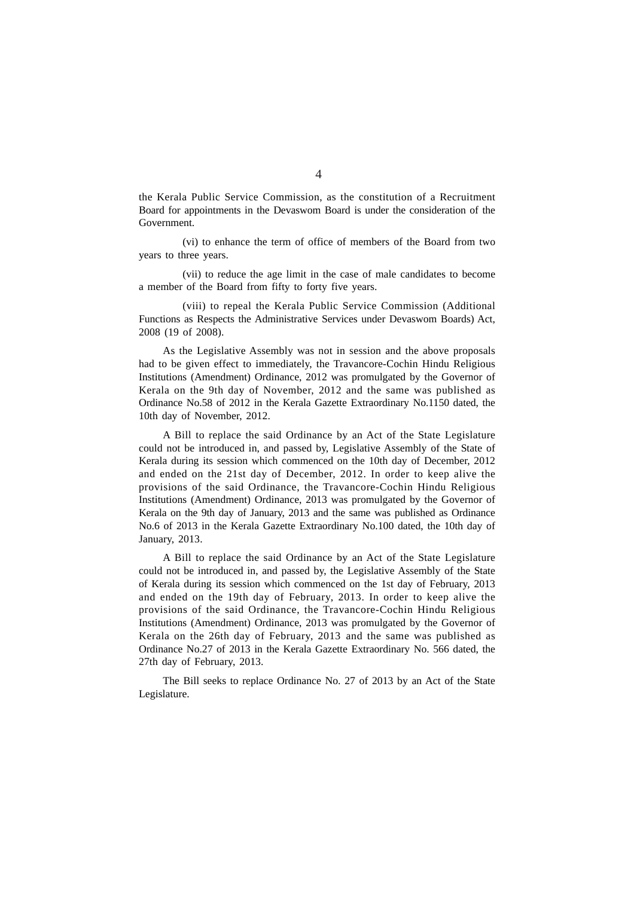the Kerala Public Service Commission, as the constitution of a Recruitment Board for appointments in the Devaswom Board is under the consideration of the Government.

(vi) to enhance the term of office of members of the Board from two years to three years.

(vii) to reduce the age limit in the case of male candidates to become a member of the Board from fifty to forty five years.

(viii) to repeal the Kerala Public Service Commission (Additional Functions as Respects the Administrative Services under Devaswom Boards) Act, 2008 (19 of 2008).

As the Legislative Assembly was not in session and the above proposals had to be given effect to immediately, the Travancore-Cochin Hindu Religious Institutions (Amendment) Ordinance, 2012 was promulgated by the Governor of Kerala on the 9th day of November, 2012 and the same was published as Ordinance No.58 of 2012 in the Kerala Gazette Extraordinary No.1150 dated, the 10th day of November, 2012.

A Bill to replace the said Ordinance by an Act of the State Legislature could not be introduced in, and passed by, Legislative Assembly of the State of Kerala during its session which commenced on the 10th day of December, 2012 and ended on the 21st day of December, 2012. In order to keep alive the provisions of the said Ordinance, the Travancore-Cochin Hindu Religious Institutions (Amendment) Ordinance, 2013 was promulgated by the Governor of Kerala on the 9th day of January, 2013 and the same was published as Ordinance No.6 of 2013 in the Kerala Gazette Extraordinary No.100 dated, the 10th day of January, 2013.

A Bill to replace the said Ordinance by an Act of the State Legislature could not be introduced in, and passed by, the Legislative Assembly of the State of Kerala during its session which commenced on the 1st day of February, 2013 and ended on the 19th day of February, 2013. In order to keep alive the provisions of the said Ordinance, the Travancore-Cochin Hindu Religious Institutions (Amendment) Ordinance, 2013 was promulgated by the Governor of Kerala on the 26th day of February, 2013 and the same was published as Ordinance No.27 of 2013 in the Kerala Gazette Extraordinary No. 566 dated, the 27th day of February, 2013.

The Bill seeks to replace Ordinance No. 27 of 2013 by an Act of the State Legislature.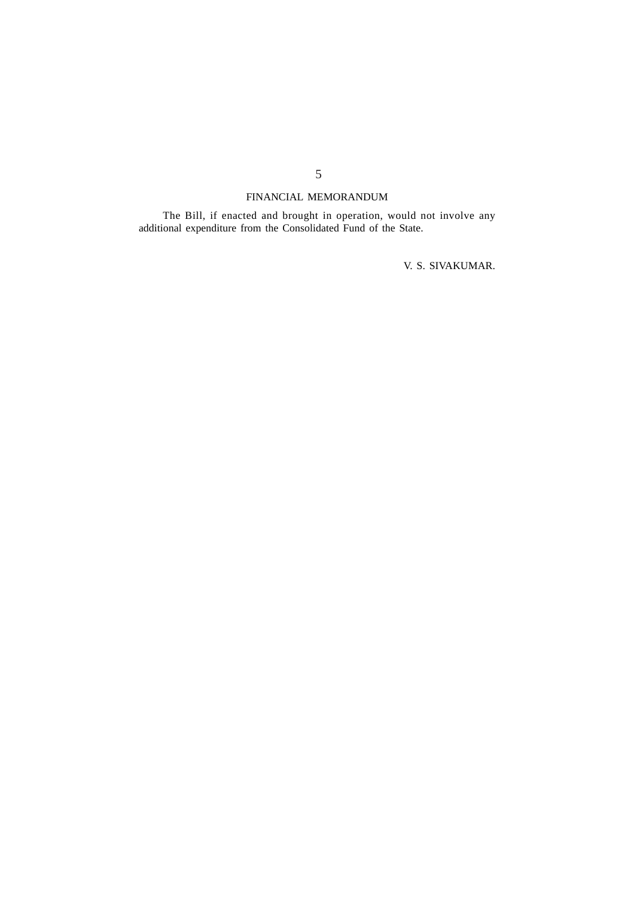# FINANCIAL MEMORANDUM

The Bill, if enacted and brought in operation, would not involve any additional expenditure from the Consolidated Fund of the State.

V. S. SIVAKUMAR.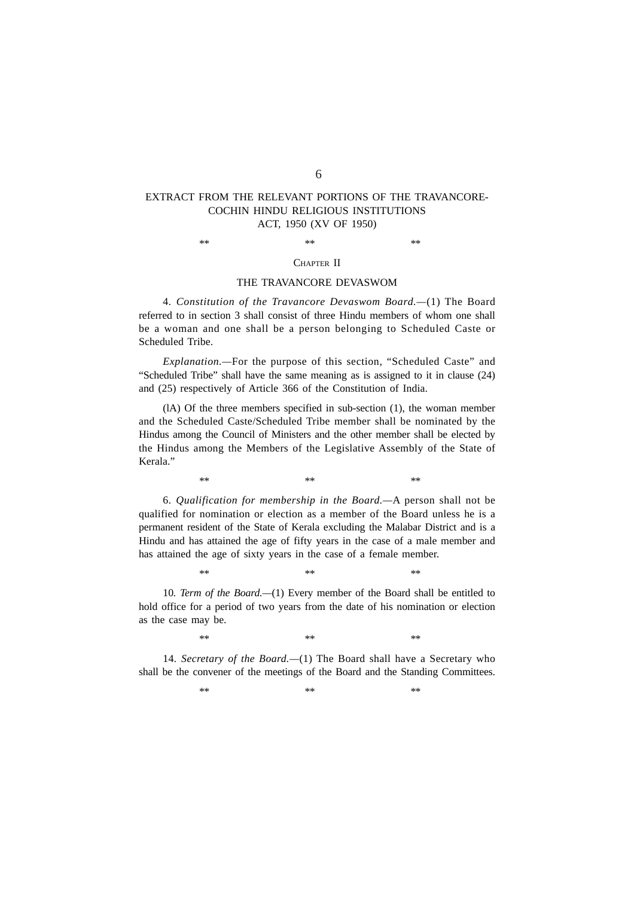## EXTRACT FROM THE RELEVANT PORTIONS OF THE TRAVANCORE-COCHIN HINDU RELIGIOUS INSTITUTIONS ACT, 1950 (XV OF 1950)

 $**$  \*\*  $**$ 

### CHAPTER II

### THE TRAVANCORE DEVASWOM

4*. Constitution of the Travancore Devaswom Board.—*(1) The Board referred to in section 3 shall consist of three Hindu members of whom one shall be a woman and one shall be a person belonging to Scheduled Caste or Scheduled Tribe.

*Explanation.—*For the purpose of this section, "Scheduled Caste" and "Scheduled Tribe" shall have the same meaning as is assigned to it in clause (24) and (25) respectively of Article 366 of the Constitution of India.

(lA) Of the three members specified in sub-section (1), the woman member and the Scheduled Caste/Scheduled Tribe member shall be nominated by the Hindus among the Council of Ministers and the other member shall be elected by the Hindus among the Members of the Legislative Assembly of the State of Kerala."

6*. Qualification for membership in the Board.—*A person shall not be qualified for nomination or election as a member of the Board unless he is a permanent resident of the State of Kerala excluding the Malabar District and is a Hindu and has attained the age of fifty years in the case of a male member and has attained the age of sixty years in the case of a female member.

 $**$  \*\*  $**$ 

10*. Term of the Board.—*(1) Every member of the Board shall be entitled to hold office for a period of two years from the date of his nomination or election as the case may be.

 $**$  \*\*  $**$ 

 $**$  \*\*  $**$ 

14*. Secretary of the Board.—*(1) The Board shall have a Secretary who shall be the convener of the meetings of the Board and the Standing Committees.

 $**$  \*\*  $**$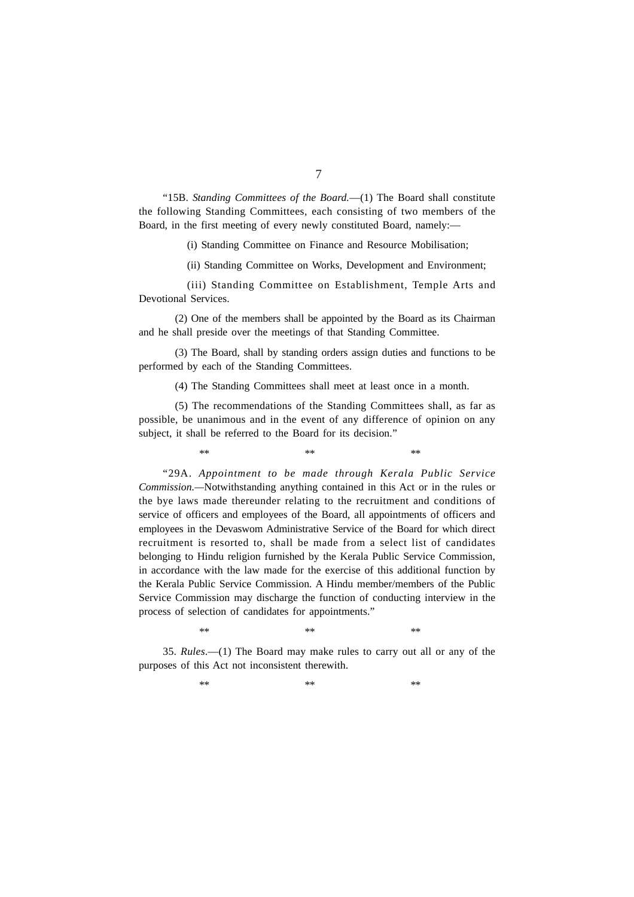"15B. *Standing Committees of the Board.*—(1) The Board shall constitute the following Standing Committees, each consisting of two members of the Board, in the first meeting of every newly constituted Board, namely:-

(i) Standing Committee on Finance and Resource Mobilisation;

(ii) Standing Committee on Works, Development and Environment;

(iii) Standing Committee on Establishment, Temple Arts and Devotional Services.

(2) One of the members shall be appointed by the Board as its Chairman and he shall preside over the meetings of that Standing Committee.

(3) The Board, shall by standing orders assign duties and functions to be performed by each of the Standing Committees.

(4) The Standing Committees shall meet at least once in a month.

(5) The recommendations of the Standing Committees shall, as far as possible, be unanimous and in the event of any difference of opinion on any subject, it shall be referred to the Board for its decision."

 $**$  \*\*  $**$ "29A. *Appointment to be made through Kerala Public Service Commission.—*Notwithstanding anything contained in this Act or in the rules or the bye laws made thereunder relating to the recruitment and conditions of service of officers and employees of the Board, all appointments of officers and employees in the Devaswom Administrative Service of the Board for which direct

recruitment is resorted to, shall be made from a select list of candidates belonging to Hindu religion furnished by the Kerala Public Service Commission, in accordance with the law made for the exercise of this additional function by the Kerala Public Service Commission. A Hindu member/members of the Public Service Commission may discharge the function of conducting interview in the process of selection of candidates for appointments."

 $**$  \*\*  $**$ 

35. *Rules*.—(1) The Board may make rules to carry out all or any of the purposes of this Act not inconsistent therewith.

 $**$  \*\*  $**$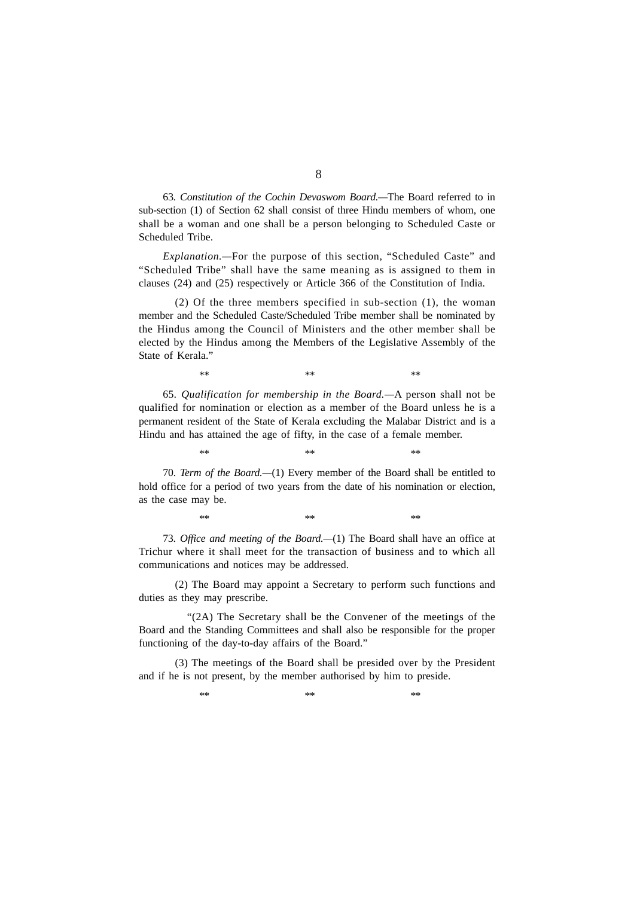63*. Constitution of the Cochin Devaswom Board.—*The Board referred to in sub-section (1) of Section 62 shall consist of three Hindu members of whom, one shall be a woman and one shall be a person belonging to Scheduled Caste or Scheduled Tribe.

*Explanation.—*For the purpose of this section, "Scheduled Caste" and "Scheduled Tribe" shall have the same meaning as is assigned to them in clauses (24) and (25) respectively or Article 366 of the Constitution of India.

(2) Of the three members specified in sub-section (1), the woman member and the Scheduled Caste/Scheduled Tribe member shall be nominated by the Hindus among the Council of Ministers and the other member shall be elected by the Hindus among the Members of the Legislative Assembly of the State of Kerala."

65*. Qualification for membership in the Board.—*A person shall not be qualified for nomination or election as a member of the Board unless he is a permanent resident of the State of Kerala excluding the Malabar District and is a Hindu and has attained the age of fifty, in the case of a female member.

 $**$  \*\*  $**$ 

70. *Term of the Board.—*(1) Every member of the Board shall be entitled to hold office for a period of two years from the date of his nomination or election, as the case may be.

 $**$  \*\*  $**$ 

73*. Office and meeting of the Board.—*(1) The Board shall have an office at Trichur where it shall meet for the transaction of business and to which all communications and notices may be addressed.

 $**$  \*\*  $**$ 

(2) The Board may appoint a Secretary to perform such functions and duties as they may prescribe.

"(2A) The Secretary shall be the Convener of the meetings of the Board and the Standing Committees and shall also be responsible for the proper functioning of the day-to-day affairs of the Board."

(3) The meetings of the Board shall be presided over by the President and if he is not present, by the member authorised by him to preside.

 $**$  \*\*  $**$